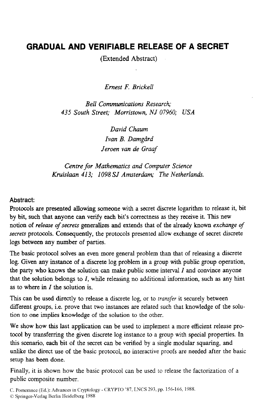# **GRADUAL AND VERIFIABLE RELEASE OF A SECRET**

(Extended Abstract)

*Ernest F. Brickell* 

*Bell Communications Research; 435 South Street; Morristown, NJ* 07960; *USA* 

> *David Chaum*  Ivan *B. Damgård Jeroen van de Graaf*

*Centre for Mathematics and Computer Science Kruislann 413; 1098 SJ Amsterdam; The Netherlands.* 

#### **Abstract:**

Protocols are presented allowing someone with a secret discrete logarithm to release it, bit by bit, such that **anyone** *can* venfy each bit's correctness **as** they receive it. This new notion of *releare of secrets* generalizes and extends that of the already known *exchange of secrets* protocols. Consequently, the protocols presented allow exchange of secret discrete logs between **any number** of parties.

The basic protocol solves an even more general problem **than** that of releasing a discrete log. Given any instance of a discrete log problem in a group with public group operation, the party who knows the solution can make public some interval I and convince anyone that the solution belongs to *I,* while releasing no additional information, such **as** any hint **as** to where in Z the solution is.

This can be **used directly** to release a discrete log, or to rransfer it securely between different groups, i.e. prove that two instances are related such that knowledge of the solution to **one** implies **knowledge** of the solution to the other.

We show how **this** last application can be used to implement a more efficient release protocol by transferring the **given** discrete log instance to a group with special properties. In this scenario, each bit of the secret can be verified by a single modular squaring, and unlike the direct use of the basic protocol, no interactive proofs are needed after the basic setup **has** been done.

Finally, it is shown how the basic protocol can be used to release the factorization of a public composite number.

C. Pomerance (Ed.): Advances in Cryptology - CRYPT0 *'87,* LNCS 293, pp. 156-166, 1988.

 $© Springer-Verlag Berlin Heidelberg 1988$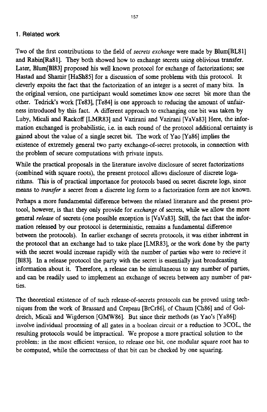### **1. Related work**

Two of the first contributions to the field of *secrets exchange* were made by Blum(BL811 and Rabin[Ra81]. They both showed how to exchange secrets using oblivious transfer. Later, Blum[Bl83] proposed his well known protocol for exchange of factorizations; see Hastad and Shamir [HaSh85] for a discussion of some problems with this protocol. It cleverly expoits the fact that the factorization of an integer is a secret of many bits. In the original version, one participant would sometimes know one secret bit more than the other. Tedrick's work [Te83], [Te84] is one approach to reducing the amount of unfair**ness** introduced by this fact. **A** different approach to exchanging one bit was taken by Luby, Mid and Rackoff **[LMR83]** and Vazirani and **Vazirani** [VaVa83] Here, the information exchanged **is** probabilistic, i.e. in each round of the protocol additional certainty is gained about the value of a single secret bit. The work of Yao [Ya86] implies the existence of extremely general two party exchange-of-secret protocols, in connection with the problem of secure computations with private inputs.

While the practical proposals in the literature involve disclosure of secret factorizations (combined with square roots), the present protocol allows disclosure **of** discrete logarithms. This is of practical importance for protocols based on secret discrete logs, since means to *transfer* a secret from a discrete log form to a factorization form are not known.

Perhaps a more fundamental difference between the related literature and the present protocol, however, is that they **only** provide for *exchange* of secrets, while we allow the more general *releare* of secrets (one possible exception is [VaVa83]. *Still,* the fact that the information released by our protocol is deterministic, remains a fundamental difference between the protocols). In earlier exchange of secrets protocols, it was either inherent in the protocol that an exchange had to take place [LMR83], or the work done by the party with the secret would increase rapidly with the number of parties who were to recieve it [B183]. In a release protocol the party with the secret is essentially just broadcasting information about it. Therefore, a release can be simultaneous to any number of **parties,**  and *can* be readily **used** to implement an exchange of secrets between any number of par**ties.** 

The theoretical existence of of such release-of-secrets protocols can be proved using techniques from the work of Brassard and Crepeau [BrCr86], of Chaum [Ch86] and of Goldreich, Micali and Wigderson [GMW86]. But since their methods (as Yao's [Ya86]) involve individual processing of **all** gates in **a** boolean circuit or a reduction to 3COL, the resulting protocols would be impractical. We propose a more practical solution to the problem: in the most efficient version, *to* release one bit, one modular square root **has** to be computed, while the correctness of that bit can be checked by one squaring.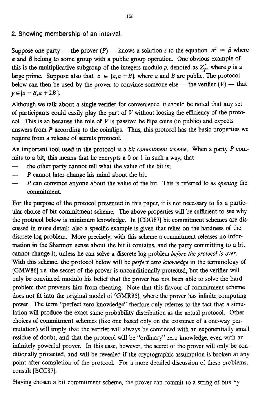#### **2. Showing membership** of an **interval.**

Suppose one party — the prover  $(P)$  — knows a solution *z* to the equation  $\alpha^2 = \beta$  where *a* and *B* belong to some group with a public group operation. One obvious example of this is the multiplicative subgroup of the integers modulo  $p$ , denoted as  $Z_p^*$ , where  $p$  is a large prime. Suppose also that  $z \in [a, a + B]$ , where a and B are public. The protocol<br>below can then be used by the prover to convince someone else — the verifier  $(V)$  — that  $y \in [a - B, a + 2B].$ 

Although we talk about a single verifier for convenience, it should be noted that any set of participants could easily play the part of *V* without loosing the efficiency of the protocol. This is so because the role of  $V$  is passive: he flips coins (in public) and expects answers from *P* according to the coinflips. Thus, this protocol has the basic properties we require from a release **of** secrets protocol.

*An* important tool used in the protocol is a *bit commitment scheme.* When a party *P* **com**mits to a bit, this means that he encrypts a 0 or 1 in such a way, that the other party cannot tell what the value of the bit is;

- $\frac{1}{2}$   $\frac{1}{2}$ the other party cannot tell what the value of the bit is:
- *P* cannot later change **his** mind about the bit.
- $\frac{1}{1}$ *P* can convince anyone about the value of the bit. This is referred to as *opening* the commitment.

For the purpose of the protocol presented in this paper, it is not necessary to **fix** a partic**ular** choice of bit commitment scheme. The above properties will be sufficient to see why the protocol below is minimum knowledge. In **[CDG87]** bit commitment schemes are dis*cussed* in more detail; also a specific example is given that relies on the hardness of the discrete log problem. More precisely, with this scheme a commitment releases no information in the Shannon sense about the bit it contains, and the party committing to a bit cannot change it, unless he can solve a discrete log problem *before the protocol is over.*  With **this** scheme, the protocol below will be *perfect zero knowledge* in the terminology of **[GMW86]** i.e. the secret of the prover is unconditionally protected, but the verifier will only be **convinced** modulo his belief that the prover has not been able to solve the hard problem that prevents him from cheating. Note that this flavour of commitment scheme **does** not fit into the **original** model **of** [GMRSS], where the prover has infinite computing power. The term "perfect zero knowledge" therfore only referres to the fact that a simulation will produce the exact same probabllity distribution as the actual protocol. Other choices of commitment schemes (like one based only on the existence of a one-way permutation) will imply that the verifier will always be convinced with an exponentially **small**  residue of doubt, and that the protocol will be "ordmary" zero knowledge, even with an infinitely powerful prover. In this case, however, the secret of the prover will **only** be conditionally protected, and will be revealed if the cryptographic assumption is broken at any point after completion of the protocol. For a more detailed discussion of these problems, consult [ **BCC87j.** 

Having chosen a bit commitment scheme, the prover can commit to a string of bits by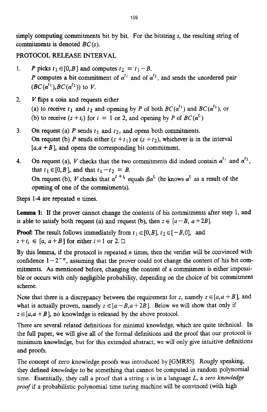simply computing commitments bit by bit. For the bitstring **s,** the resulting string of commitments **is** denoted *BC(s).* 

# **PROTOCOL** RELEASE **INTERVAL**

- *P* picks  $t_1 \in [0, B]$  and computes  $t_2 = t_1 B$ .  $\mathbf{1}$ . P computes a bit commitment of  $\alpha^{t_1}$  and of  $\alpha^{t_2}$ , and sends the unordered pair  $(BC(\alpha^{l_1}), BC(\alpha^{l_2}))$  to *V*.
- *V* **flips** a **coin** and requests either  $2.$ (a) to receive  $t_1$  and  $t_2$  and opening by *P* of both  $BC(\alpha^{t_1})$  and  $BC(\alpha^{t_2})$ , or (b) to receive  $(z + t_i)$  for  $i = 1$  or 2, and opening by P of  $BC(\alpha^{t_i})$
- On request (a)  $P$  sends  $t_1$  and  $t_2$ , and opens both commitments. 3. On request (b) P sends either  $(z + t_1)$  or  $(z + t_2)$ , whichever is in the interval  $[a, a + B]$ , and opens the corresponding bit commitment.
- On request (a), *V* checks that the two commitments did indeed contain  $\alpha^{t_1}$  and  $\alpha^{t_2}$ , 4. that  $t_1 \in [0, B]$ , and that  $t_1 - t_2 = B$ . On request (b), *V* checks that  $\alpha^{z+t_i}$  equals  $\beta \alpha^{t_i}$  (he knows  $\alpha^{t_i}$  as a result of the opening of one of the commitments).

Steps 1-4 are repeated *n* times.

**Lemma 1:** If the prover cannot change the contents of **his** commitments after step 1, and is able to satisfy both request (a) and request (b), then  $z \in [a - B, a + 2B]$ .

**Proof:** The result follows immediately from  $t_1 \in [0, B]$ ,  $t_2 \in [-B, 0]$ , and  $z+t_i \in [a, a+B]$  for either  $i=1$  or 2.

By this **lemma,** if the protocol is repeated *n* times, then the verifier will be **convinced** with confidence  $1 - 2^{-n}$ , assuming that the prover could not change the content of his bit commitments. **As** mentioned before, changing the content of a commitment is either impossible or occurs with only neghgible probabihty, depending on the choice of bit commitment scheme.

Note that there is a discrepancy between the requirement for z, namely  $z \in [a, a + B]$ , and what is actually proven, namely  $z \in [a - B, a + 2B]$ . Below we will show that only if  $z \in [a, a + B]$ , no knowledge is released by the above protocol.

There are several related definitions for minimal knowledge, which are quite technical. In the full paper, we will give all of the formal definitions and the proof that our protocol is minimum knowledge, but for this extended abstract, we will only give intuitive definitions and proofs.

The **concept** of zero knowledge proofs **was** introduced by **[GMR85].** Rougly **speaking,**  they defined *knowledge* to be something that cannot be computed in random polynomial time. Essentially, they call a proof that a string **x** is in a language *L,* a *zero knowledge proof* if a probabilistic polynomial time turing machine wdl be **convinced** (With **high**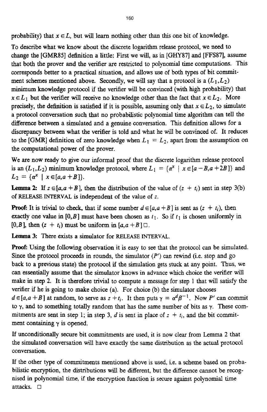probability) that  $x \in L$ , but will learn nothing other than this one bit of knowledge.

To describe what we know about the discrete logarithm release protocol, we **need** to change the **[GMR85]** definition a little: First we will, as in *[GHY87]* and [FFS87], assume that both the prover **and** the verifier are restricted to polynomial time computations. This corresponds better to a practical situation, and allows use of both types of bit commitment schemes mentioned above. Secondly, we will say that a protocol is a  $(L_1, L_2)$ minimum knowledge protocol if the verifier will be **convinced** (with **high** probability) that  $x \in L_1$  but the verifier will receive no knowledge other than the fact that  $x \in L_2$ . More precisely, the definition is satisfied if it is possible, assuming only that  $x \in L_2$ , to simulate a protocol conversation such that no probabilistic polynomial time algorithm can tell the difference between a simulated and a genuine conversation. This definition allows for a discrepancy between what the verifier **is** told and what he will be **convinced** of. It reduces to the [GMR] definition of zero knowledge when  $L_1 = L_2$ , apart from the assumption on the computational power **of** the prover.

We are now ready to give our informal proof that the discrete logarithm release protocol is an  $(L_1, L_2)$  minimum knowledge protocol, where  $L_1 = \{ \alpha^x \mid x \in [a - B, a + 2B] \}$  and  $L_2 = \{ \alpha^x \mid x \in [a, a + B] \}.$ 

**Lemma 2:** If  $z \in [a, a + B]$ , then the distribution of the value of  $(z + t_i)$  sent in step 3(b) **of** RELEASE **INTERVAL** is independent of the value of z.

**Proof:** It is trivial to check, that if some number  $d \in [a, a + B]$  is sent as  $(z + t_i)$ , then exactly one value in  $[0, B]$  must have been chosen as  $t_1$ . So if  $t_1$  is chosen uniformly in  $[0, B]$ , then  $(z + t_i)$  must be uniform in  $[a, a + B]$   $\Box$ .

**Lemma 3:** There exists a simulator for RELEASE INTERVAL.

Proof: Using the following observation it **is** easy to see that the protocol can be simulated. Since the protocol proceeds in rounds, the simulator *(P') can* rewind (i.e. stop and go back to a previous **state)** the protocol if the simulation gets stuck at any point. **Thus,** we *can* essentially assume that the simulator knows in advance which choice the verifier will make in step **2.** It is therefore trivial to compute a message for step 1 that will satisfy the verifier if he **is** going to make choice (a). For choice (b) the simulator chooses  $d \in [a, a + B]$  at random, to serve as  $z + t_i$ . It then puts  $\gamma = \alpha^d \beta^{-1}$ . Now P' can commit to *y,* **and** to something totally random that has the same number of bits as y. These commitments are sent in step 1; in step 3, *d* is sent in place of  $z + t_i$ , and the bit commitment containing *y* is **opened.** 

If unconditionally secure bit commitments are used, it is now clear from Lemma *2* that the simulated **conversation** will have exactly the same distribution **as** the actual protocol conversation.

**If** the other type of commitments mentioned above is used, i.e. **a** scheme based on probabilistic encryption, the distributions will be different, but the difference cannot be recog**nised** in polynomial time, if **the** encryption function is secure **against** polynomial time attacks. *0*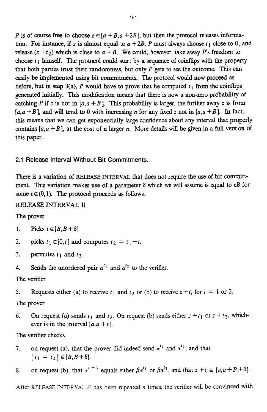*P* is of course free to choose  $z \in [a + B, a + 2B]$ , but then the protocol releases information. For instance, if *z* is almost equal to  $a + 2B$ , *P* must always choose  $t_1$  close to 0, and release  $(z + t_2)$  which is close to  $a + B$ . We could, however, take away *P*'s freedom to choose  $t_1$  himself. The protocol could start by a sequence of coinflips with the property that both parties trust their randomness, but only P gets to *see* the outcome. This *can*  easily be implemented **using** bit commitments. The protocol would now proceed as before, but in step  $3(a)$ , *P* would have to prove that he computed  $t_1$  from the coinflips generated initially. This **modification** means that there is now a non-zero probability of catching *P* if *z* is not in  $[a, a + B]$ . This probability is larger, the further away *z* is from  $[a, a + B]$ , and will tend to 0 with increasing *n* for any fixed *z* not in  $[a, a + B]$ . In fact, this means that we *can* get exponentially large confidence about any interval that properly contains  $[a, a + B]$ , at the cost of a larger *n*. More details will be given in a full version of this paper.

**2.1 Release Interval** Without **Bit Commitments.** 

There *is* a variation of **RELEASE MTERVAL** that **does** not require the use of bit committment. This variation **makes** use of a parameter **6** which we will assume is equal to *cB* for some  $\epsilon \in (0,1)$ . The protocol proceeds as follows:

#### RELEASE **INTERVAL I1**

The prover

- 1. Picks  $t \in [B, B + \delta]$
- **2.**  picks  $t_1 \in [0, t]$  and computes  $t_2 = t_1 - t$ .
- **3.**  permutes  $t_1$  and  $t_2$ .
- **4.**  Sends the unordered pair  $\alpha^{t_1}$  and  $\alpha^{t_2}$  to the verifier.

The verifier

5. Requests either (a) to receive  $t_1$  and  $t_2$  or (b) to receive  $z + t_i$  for  $i = 1$  or 2.

# The prover

*6.*  On request (a) sends  $t_1$  and  $t_2$ . On request (b) sends either  $z + t_1$  or  $z + t_2$ , whichever is in the interval  $[a, a + t]$ .

The verifier checks

- 7. on request (a), that the prover did indeed send  $\alpha^{t_1}$  and  $\alpha^{t_2}$ , and that  $|t_1 = t_2| \in [B, B + \delta].$
- 8. on request (b), that  $\alpha^{z+t_i}$  equals either  $\beta \alpha^{t_1}$  or  $\beta \alpha^{t_2}$ , and that  $z + t_i \in [a, a + B + \delta]$ .

After RELEASE INTERVAL II has been repeated  $n$  times, the verifier will be convinced with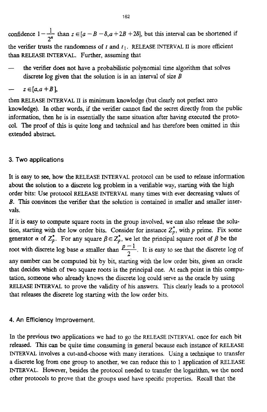l\_ <sup>162</sup><br>
confidence  $1 - \frac{1}{2^n}$  than  $z \in [a - B - \delta, a + 2B + 2\delta]$ , but this interval can be shortened if the verifier trusts the randomness of  $t$  and  $t_1$ . RELEASE INTERVAL II is more efficient than **RELEASE** INTERVAL. Further, assuming that

the verifier does not have a probabilistic polynomial time algorithm that solves discrete log given that the solution is in an interval of size *B*<br>  $z \in [a, a + B]$ ,

$$
- z \in [a, a + B],
$$

then **RELEASE INTERVAL II** is minimum knowledge (but clearly not perfect zero knowledge). In other words, if **the** verifier cannot find the secret **directly** from the public information, then he is in essentially the same situation after having executed the protocol. The proof of this is quite long and technical and has therefore been omitted in this extended abstract.

### **3. Two applications**

It is easy to **see,** how the RELEASE INTERVAL protocol can be **used** to re!ease information about the solution to a. discrete log problem in a verifiable way, starting with the **high**  order bits: **Use** protocol RELEASE INTERVAL many times with ever decreasing values of *B.* This *Convinces* the verifier that the solution is contained in smaller and smaller intervals.

If it is easy to compute square roots in the group involved, we can also release the solution, starting with the low order bits. Consider for instance  $Z_p^*$ , with  $p$  prime. Fix some generator  $\alpha$  of  $Z_p^*$ . For any square  $\beta \in Z_p^*$ , we let the principal square root of  $\beta$  be the root with discrete log base  $\alpha$  smaller than  $\frac{p-1}{2}$ . It is easy to see that the discrete log of any number can be computed bit by bit, starting with the low order bits, given an oracle that decides which of two square roots **is** the principal one. At each point in this compu**tation,** someone who already **knows** the discrete log could serve **as** the oracle by Using **RELEASE INTERVAL to prove the validity of his answers. This clearly leads to a protocol** that releases the discrete log starting with the low order bits.

#### **4. An Efficiency Improvement.**

**In** the previous two applications we had to go the RELEASE INTERVAL once for each bit released. This can be quite time **consuming** in general because each instance of RELEASE MTERVAL involves a cut-and-choose **with** many iterations. Using a technique to transfer a discrete log **from** one group to another, we can reduce this to 1 application of RELEASE INTERVAL. However, besides the protocol needed to transfer the logarithm, **we** the need other protocols to prove that the groups used have specific properties. **Recall** that the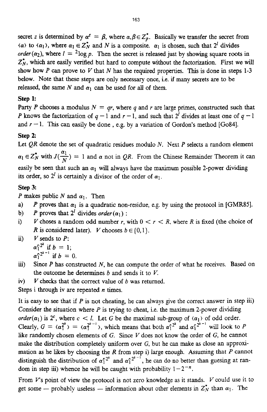secret *z* is determined by  $\alpha^z = \beta$ , where  $\alpha, \beta \in Z_p^*$ . Basically we transfer the secret from  $(\alpha)$  to  $(\alpha_1)$ , where  $\alpha_1 \in \mathbb{Z}_N^*$  and *N* is a composite.  $\alpha_1$  is chosen, such that  $2^l$  divides *order* ( $\alpha_2$ ), where  $I = {}^2$ log *p*. Then the secret is released just by showing square roots in  $Z_N^*$ , which are easily verified but hard to compute without the factorization. First we will show how P can prove to V that N has the required properties. This is done in steps 1-3 below. Note that these steps are only **necessary** once, i.e. if many secrets are to be released, the same N and  $\alpha_1$  can be used for all of them.

#### **Step 1:**

Party *P* chooses a modulus  $N = qr$ , where *q* and *r* are large primes, constructed such that P knows the factorization of  $q-1$  and  $r-1$ , and such that  $2^{l}$  divides at least one of  $q-1$ and  $r - 1$ . This can easily be done, e.g. by a variation of Gordon's method [Go84].

#### **Step 2:**

Let *QR* denote the set of quadratic residues modulo *N*. Next *P* selects a random element  $\alpha_1 \in Z_N^*$  with  $J(\frac{\alpha_1}{N}) = 1$  and  $\alpha$  not in *QR*. From the Chinese Remainder Theorem it can easily be seen that such an  $\alpha_1$  will always have the maximum possible 2-power dividing its order, so  $2^l$  is certainly a divisor of the order of  $\alpha_1$ . *N* 

#### **Step 3:**

P makes public N and  $\alpha_1$ . Then

- a) *P* proves that  $\alpha_1$  is a quadratic non-residue, e.g. by using the protocol in [GMR85].
- b) *P* proves that  $2^l$  divides *order* ( $\alpha_1$ ) :
- i) V choses a random odd number r, with  $0 < r < R$ , where R is fixed (the choice of *R* is considered later). *V* chooses  $b \in \{0,1\}$ .
- *<i>i*)  $V$  sends to  $P$ :

 $\alpha_1^{r^2}$  if  $b=1$ .  $\alpha_1^{r_2^{k-1}}$  if  $b = 0$ .

- **Since** P **has** constructed *N,* he can compute the order of what he receives. Based on the outcome he determines *b* and sends it to *V. iii>*
- *Y* checks that the correct value of *b* was returned. iv)

Steps i through iv are repeated *n* times.

It is easy to see that if  $P$  is not cheating, he can always give the correct answer in step iii) Consider the situation where *P* is trying to cheat, i.e. the maximum 2-power dividing *order*( $\alpha_1$ ) is 2<sup>c</sup>, where  $c < l$ . Let G be the maximal sub-group of  $\langle \alpha_1 \rangle$  of odd order. Clearly,  $G = \langle \alpha_1^{2^k} \rangle = \langle \alpha_1^{2^{k-1}} \rangle$ , which means that both  $\alpha_1^{2^{k}}$  and  $\alpha_1^{2^{k-1}}$  will look to *P* like randomly chosen elements of *G*. Since *V* does not know the order of *G*, he cannot make the distribution completely uniform over G, but he can make as close an approximation **as** he likes by choosing the *R* from step i) large enough. **Assuming** that *P* Cannot distinguish the distribution of  $\alpha_1^{r^2}$  and  $\alpha_1^{r^2-1}$ , he can do no better than guesing at random in step iii) whence he will be caught with probability  $1 - 2^{-n}$ .

From *V*'s point of view the protocol is not zero knowledge as it stands. *V* could use it to get some — probably useless — information about other elements in  $Z_N^*$  than  $\alpha_1$ . The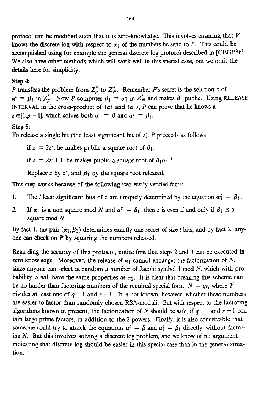protocol can be modified such that it is zero-knowledge. This involves ensuring that *V*  knows the discrete log with respect to  $\alpha_1$  of the numbers he send to *P*. This could be accomplished **using** for example the general discrete log protocol described in **[CEGP86].**  We **also** have other methods which will work well in this special case, but we omit the details here for simplicity.

# **Step 4:**

P transfers the problem from  $Z_p^*$  to  $Z_N^*$ . Remember P's secret is the solution z of  $\alpha^2 = \beta_1$  in  $Z_p^*$ . Now *P* computes  $\beta_1 = \alpha_1^2$  in  $Z_N^*$  and makes  $\beta_1$  public. Using RELEASE **INTERVAL in the cross-product of**  $\langle \alpha \rangle$  **and**  $\langle \alpha_1 \rangle$ **,** *P* **can prove that he knows a**  $z \in [1,p-1]$ , which solves both  $\alpha^2 = \beta$  and  $\alpha_1^2 = \beta_1$ .

# **step** *5*

To release a single bit (the **least** sipticant bit of z), P proceeds **as** follows:

if  $z = 2z'$ , he makes public a square root of  $\beta_1$ .

*if*  $z = 2z' + 1$ , he makes public a square root of  $\beta_1 \alpha_1^{-1}$ .

Replace *z* by *z'*, and  $\beta_1$  by the square root released.

This step works because of the following two easily verified facts:

- 1. The *I* least significant bits of z are uniquely determined by the equation  $\alpha_1^2 = \beta_1$ .
- **2.** If  $\alpha_1$  is a non square mod *N* and  $\alpha_1^2 = \beta_1$ , then *z* is even if and only if  $\beta_1$  is a square mod *N.*

By fact 1, the pair  $(\alpha_1, \beta_1)$  determines exactly one secret of size *l* bits, and by fact 2, anyone *can* check on *P* by squaring the numbers released.

Regarding the security of this protocol, notice first that **steps 2** and 3 can be executed in zero knowledge. Moreover, the release of  $\alpha_1$  cannot endanger the factorization of N, *Since* anyone *can* select **at** random a number of Jacobi symbol 1 mod *N,* which with probability *4* will have the same properties as  $\alpha_1$ . It is clear that breaking this scheme can be no harder than factoring numbers of the required special form:  $N = qr$ , where  $2^l$ divides at least one of  $q-1$  and  $r-1$ . It is not known, however, whether these numbers are easier to factor than randomly chosen RSA-moduli. But with respect to the factoring algorithms known at present, the factorization of *N* should be safe, if  $q-1$  and  $r-1$  contain large prime factors, in addition to the 2-powers. Finally, it is also conceivable that someone could try to attack the equations  $\alpha^2 = \beta$  and  $\alpha_1^2 = \beta_1$  directly, without factoring *N.* But this involves solving a discrete log problem, and we know of no argument indicating that discrete log should **be** easier in this special case than in the general situation.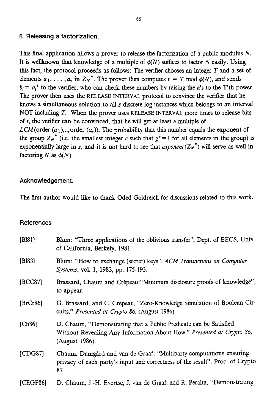### **6. Releasing a factorization.**

This **final** application allows a prover to release the factorization of a public **modulus** *N.*  It is wellknown that knowledge of a multiple of  $\phi(N)$  suffices to factor *N* easily. Using this fact, the protocol proceeds **as** follows: The verifier chooses **an** integer *T* and a set of elements  $a_1, \ldots, a_s$  in  $Z_N^*$ . The prover then computes  $t = T \text{ mod } \phi(N)$ , and sends  $b_i = a_i^t$  to the verifier, who can check these numbers by raising the a's to the T'th power. The prover then uses the RELEASE **INTERVAL** protocol to **convince** the verifier that he **knows** a **simultaneous** solution to all **s** discrete log **instances** which belongs to an interval NOT including *T.* **When** the prover uses **RELEASE INTERVAL** more times to release bits of *t,* the verifier *can* be **convinced,** that he will get at least a multiple of *LCM*(order  $(a_1)$ ,..,order  $(a_s)$ ). The probability that this number equals the exponent of the group  $Z_N^*$  (i.e. the smallest integer *e* such that  $g^e = 1$  for all elements in the group) is exponentially large in *s*, and it is not hard to see that *exponent*  $(Z_N^*)$  will serve as well in factoring *N* as  $\phi(N)$ .

# **Acknowledgement.**

The first author would like to thank Oded Goldreich for discussions related to this work.

### **References**

| [B181]   | Blum: "Three applications of the oblivious transfer", Dept. of EECS, Univ.<br>of California, Berkely, 1981.                                                  |
|----------|--------------------------------------------------------------------------------------------------------------------------------------------------------------|
| [Bl83]   | Blum: "How to exchange (secret) keys", ACM Transactions on Computer<br>Systems, vol. 1, 1983, pp. 175-193.                                                   |
| [BCC87]  | Brassard, Chaum and Crépeau: "Minimum disclosure proofs of knowledge",<br>to appear.                                                                         |
| [BrCr86] | G. Brassard, and C. Crépeau, "Zero-Knowledge Simulation of Boolean Cir-<br>cuits," Presented at Crypto 86, (August 1986).                                    |
| [Ch86]   | D. Chaum, "Demonstrating that a Public Predicate can be Satisfied<br>Without Revealing Any Information About How," Presented at Crypto 86,<br>(August 1986). |
| [CDG87]  | Chaum, Damgård and van de Graaf: "Multiparty computations ensuring<br>privacy of each party's input and correctness of the result", Proc. of Crypto<br>87.   |
| [CEGP86] | D. Chaum, J.-H. Evertse, J. van de Graaf, and R. Peralta, "Demonstrating                                                                                     |